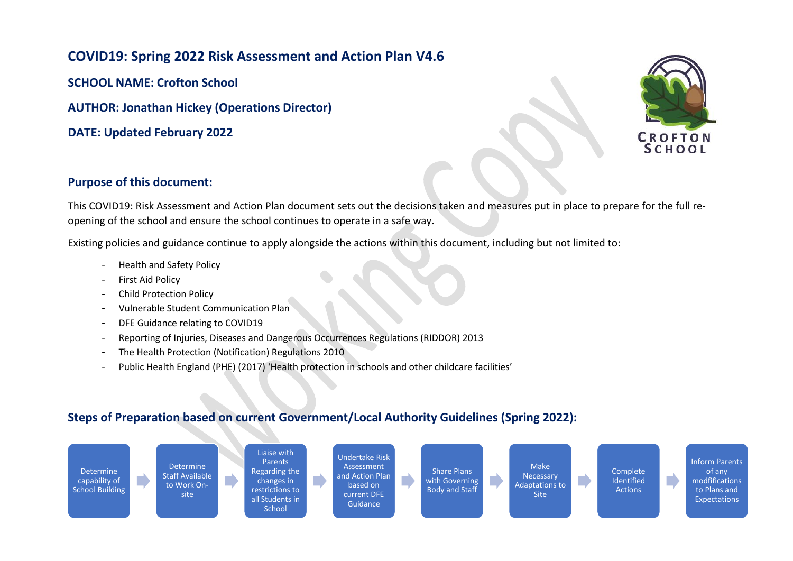## **COVID19: Spring 2022 Risk Assessment and Action Plan V4.6**

**SCHOOL NAME: Crofton School**

**AUTHOR: Jonathan Hickey (Operations Director)**

**DATE: Updated February 2022**



## **Purpose of this document:**

This COVID19: Risk Assessment and Action Plan document sets out the decisions taken and measures put in place to prepare for the full reopening of the school and ensure the school continues to operate in a safe way.

Existing policies and guidance continue to apply alongside the actions within this document, including but not limited to:

- Health and Safety Policy
- First Aid Policy
- Child Protection Policy
- Vulnerable Student Communication Plan
- DFE Guidance relating to COVID19
- Reporting of Injuries, Diseases and Dangerous Occurrences Regulations (RIDDOR) 2013
- The Health Protection (Notification) Regulations 2010
- Public Health England (PHE) (2017) 'Health protection in schools and other childcare facilities'

## **Steps of Preparation based on current Government/Local Authority Guidelines (Spring 2022):**

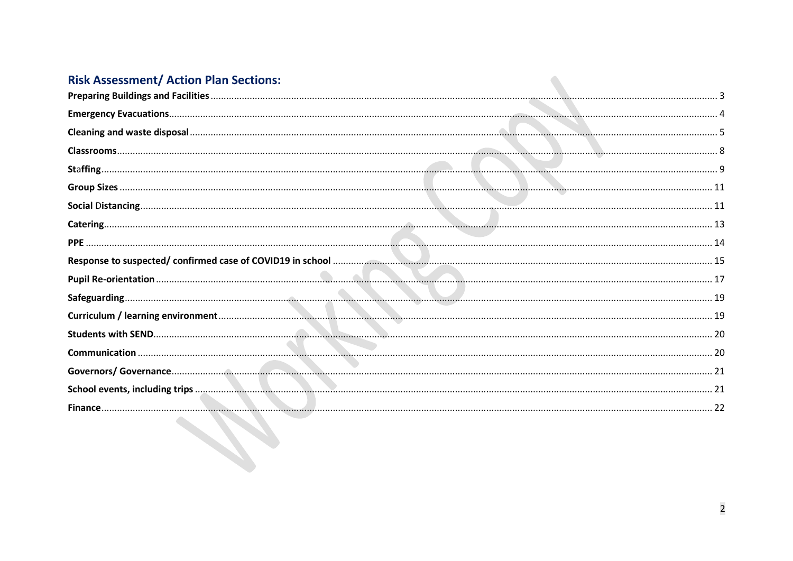## **Risk Assessment/ Action Plan Sections:**

| <b>Risk Assessment/ Action Plan Sections:</b> |  |
|-----------------------------------------------|--|
|                                               |  |
|                                               |  |
|                                               |  |
|                                               |  |
|                                               |  |
|                                               |  |
|                                               |  |
|                                               |  |
|                                               |  |
|                                               |  |
|                                               |  |
|                                               |  |
|                                               |  |
|                                               |  |
|                                               |  |
|                                               |  |
|                                               |  |
|                                               |  |
|                                               |  |
|                                               |  |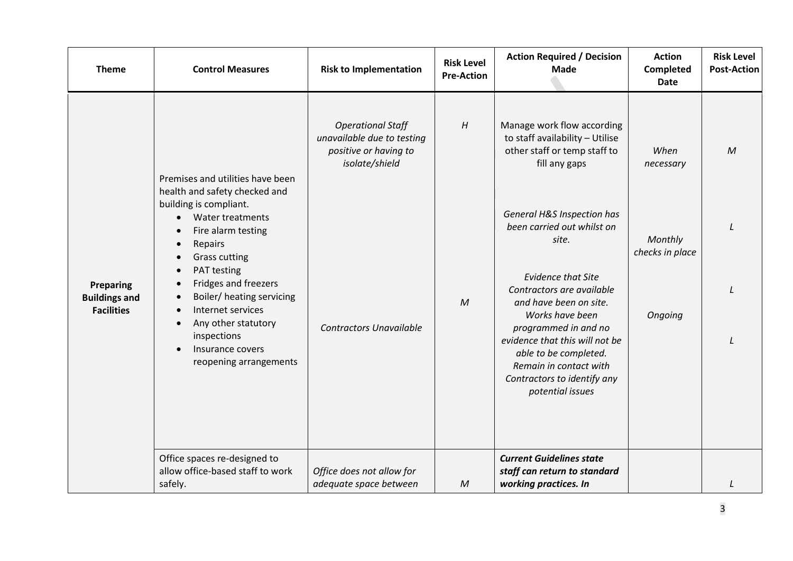<span id="page-2-0"></span>

| <b>Theme</b>                                                                                                                                                                                                                                                                                                                                       | <b>Control Measures</b>                                           | <b>Risk to Implementation</b>                                                                     | <b>Risk Level</b><br><b>Pre-Action</b> | <b>Action Required / Decision</b><br><b>Made</b>                                                                                                                                                                                                                    | <b>Action</b><br>Completed<br><b>Date</b> | <b>Risk Level</b><br><b>Post-Action</b> |
|----------------------------------------------------------------------------------------------------------------------------------------------------------------------------------------------------------------------------------------------------------------------------------------------------------------------------------------------------|-------------------------------------------------------------------|---------------------------------------------------------------------------------------------------|----------------------------------------|---------------------------------------------------------------------------------------------------------------------------------------------------------------------------------------------------------------------------------------------------------------------|-------------------------------------------|-----------------------------------------|
|                                                                                                                                                                                                                                                                                                                                                    | Premises and utilities have been<br>health and safety checked and | <b>Operational Staff</b><br>unavailable due to testing<br>positive or having to<br>isolate/shield | H                                      | Manage work flow according<br>to staff availability - Utilise<br>other staff or temp staff to<br>fill any gaps                                                                                                                                                      | When<br>necessary                         | $\mathcal M$                            |
| building is compliant.<br>Water treatments<br>$\bullet$<br>Fire alarm testing<br>Repairs<br><b>Grass cutting</b><br>PAT testing<br>Fridges and freezers<br><b>Preparing</b><br><b>Buildings and</b><br><b>Facilities</b><br>Internet services<br>Any other statutory<br>inspections<br>Insurance covers<br>Office spaces re-designed to<br>safely. |                                                                   |                                                                                                   |                                        | General H&S Inspection has<br>been carried out whilst on<br>site.                                                                                                                                                                                                   | Monthly<br>checks in place                |                                         |
|                                                                                                                                                                                                                                                                                                                                                    | Boiler/ heating servicing<br>reopening arrangements               | <b>Contractors Unavailable</b>                                                                    | $\overline{M}$                         | <b>Evidence that Site</b><br>Contractors are available<br>and have been on site.<br>Works have been<br>programmed in and no<br>evidence that this will not be<br>able to be completed.<br>Remain in contact with<br>Contractors to identify any<br>potential issues | Ongoing                                   |                                         |
|                                                                                                                                                                                                                                                                                                                                                    | allow office-based staff to work                                  | Office does not allow for<br>adequate space between                                               | M                                      | <b>Current Guidelines state</b><br>staff can return to standard<br>working practices. In                                                                                                                                                                            |                                           |                                         |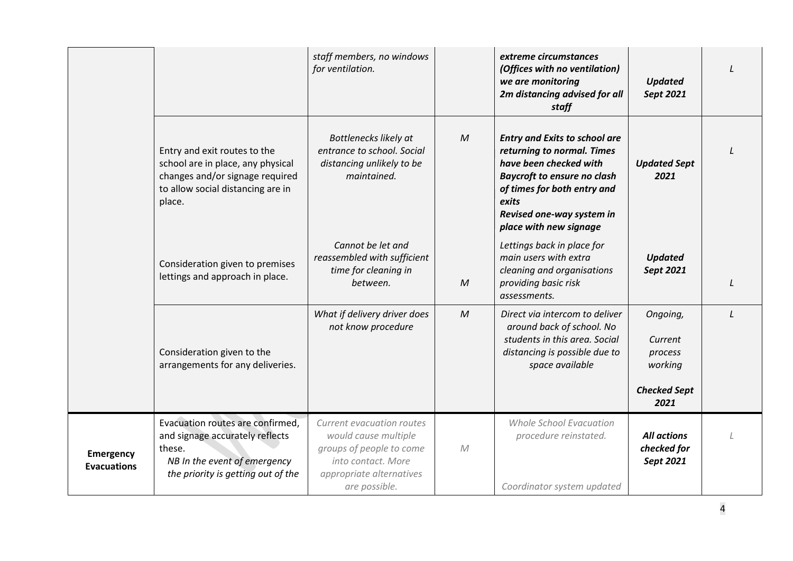<span id="page-3-0"></span>

|                                        |                                                                                                                                                     | staff members, no windows<br>for ventilation.                                                                                                    |              | extreme circumstances<br>(Offices with no ventilation)<br>we are monitoring<br>2m distancing advised for all<br>staff                                                                                                             | <b>Updated</b><br>Sept 2021                                              |          |
|----------------------------------------|-----------------------------------------------------------------------------------------------------------------------------------------------------|--------------------------------------------------------------------------------------------------------------------------------------------------|--------------|-----------------------------------------------------------------------------------------------------------------------------------------------------------------------------------------------------------------------------------|--------------------------------------------------------------------------|----------|
|                                        | Entry and exit routes to the<br>school are in place, any physical<br>changes and/or signage required<br>to allow social distancing are in<br>place. | Bottlenecks likely at<br>entrance to school. Social<br>distancing unlikely to be<br>maintained.                                                  | M            | <b>Entry and Exits to school are</b><br>returning to normal. Times<br>have been checked with<br><b>Baycroft to ensure no clash</b><br>of times for both entry and<br>exits<br>Revised one-way system in<br>place with new signage | <b>Updated Sept</b><br>2021                                              |          |
|                                        | Consideration given to premises<br>lettings and approach in place.                                                                                  | Cannot be let and<br>reassembled with sufficient<br>time for cleaning in<br>between.                                                             | M            | Lettings back in place for<br>main users with extra<br>cleaning and organisations<br>providing basic risk<br>assessments.                                                                                                         | <b>Updated</b><br>Sept 2021                                              |          |
|                                        | Consideration given to the<br>arrangements for any deliveries.                                                                                      | What if delivery driver does<br>not know procedure                                                                                               | $\mathcal M$ | Direct via intercom to deliver<br>around back of school. No<br>students in this area. Social<br>distancing is possible due to<br>space available                                                                                  | Ongoing,<br>Current<br>process<br>working<br><b>Checked Sept</b><br>2021 | $\prime$ |
| <b>Emergency</b><br><b>Evacuations</b> | Evacuation routes are confirmed,<br>and signage accurately reflects<br>these.<br>NB In the event of emergency<br>the priority is getting out of the | Current evacuation routes<br>would cause multiple<br>groups of people to come<br>into contact. More<br>appropriate alternatives<br>are possible. | M            | <b>Whole School Evacuation</b><br>procedure reinstated.<br>Coordinator system updated                                                                                                                                             | <b>All actions</b><br>checked for<br>Sept 2021                           |          |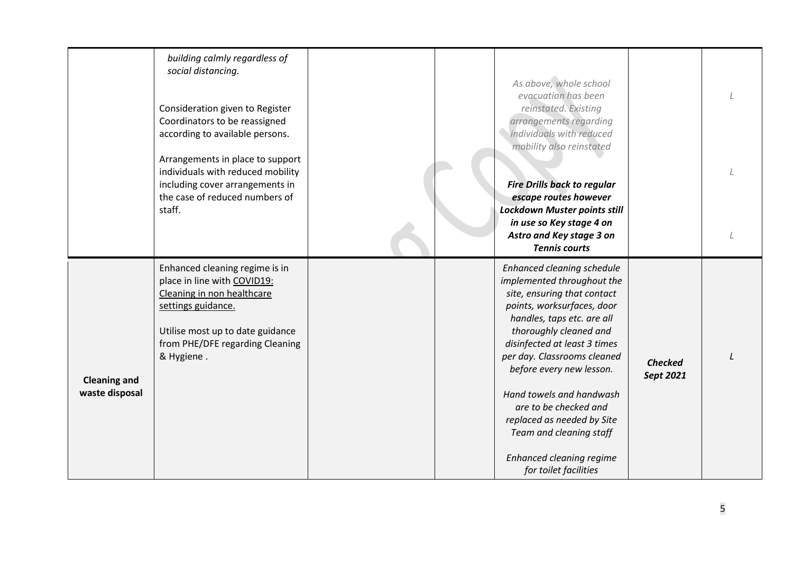<span id="page-4-0"></span>

|                                       | building calmly regardless of<br>social distancing.<br>Consideration given to Register<br>Coordinators to be reassigned<br>according to available persons.<br>Arrangements in place to support<br>individuals with reduced mobility<br>including cover arrangements in<br>the case of reduced numbers of<br>staff. |  | As above, whole school<br>evacuation has been<br>reinstated. Existing<br>arrangements regarding<br>individuals with reduced<br>mobility also reinstated<br><b>Fire Drills back to regular</b><br>escape routes however<br>Lockdown Muster points still<br>in use so Key stage 4 on<br>Astro and Key stage 3 on<br><b>Tennis courts</b>                                                                                                             |                             |  |
|---------------------------------------|--------------------------------------------------------------------------------------------------------------------------------------------------------------------------------------------------------------------------------------------------------------------------------------------------------------------|--|----------------------------------------------------------------------------------------------------------------------------------------------------------------------------------------------------------------------------------------------------------------------------------------------------------------------------------------------------------------------------------------------------------------------------------------------------|-----------------------------|--|
| <b>Cleaning and</b><br>waste disposal | Enhanced cleaning regime is in<br>place in line with COVID19:<br>Cleaning in non healthcare<br>settings guidance.<br>Utilise most up to date guidance<br>from PHE/DFE regarding Cleaning<br>& Hygiene.                                                                                                             |  | Enhanced cleaning schedule<br>implemented throughout the<br>site, ensuring that contact<br>points, worksurfaces, door<br>handles, taps etc. are all<br>thoroughly cleaned and<br>disinfected at least 3 times<br>per day. Classrooms cleaned<br>before every new lesson.<br>Hand towels and handwash<br>are to be checked and<br>replaced as needed by Site<br>Team and cleaning staff<br><b>Enhanced cleaning regime</b><br>for toilet facilities | <b>Checked</b><br>Sept 2021 |  |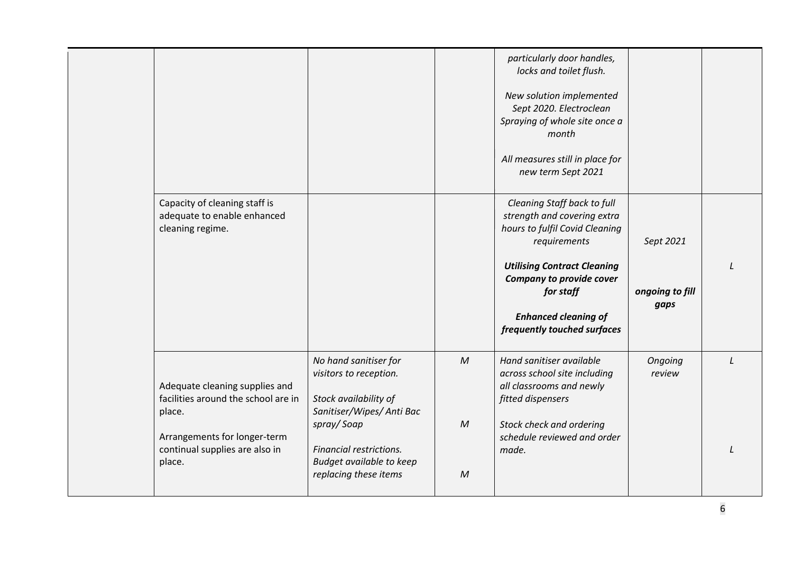|                                                                                                                                                             |                                                                                                                                                                                                     |                                              | particularly door handles,<br>locks and toilet flush.<br>New solution implemented<br>Sept 2020. Electroclean<br>Spraying of whole site once a<br>month<br>All measures still in place for<br>new term Sept 2021                                           |                                      |          |
|-------------------------------------------------------------------------------------------------------------------------------------------------------------|-----------------------------------------------------------------------------------------------------------------------------------------------------------------------------------------------------|----------------------------------------------|-----------------------------------------------------------------------------------------------------------------------------------------------------------------------------------------------------------------------------------------------------------|--------------------------------------|----------|
| Capacity of cleaning staff is<br>adequate to enable enhanced<br>cleaning regime.                                                                            |                                                                                                                                                                                                     |                                              | Cleaning Staff back to full<br>strength and covering extra<br>hours to fulfil Covid Cleaning<br>requirements<br><b>Utilising Contract Cleaning</b><br>Company to provide cover<br>for staff<br><b>Enhanced cleaning of</b><br>frequently touched surfaces | Sept 2021<br>ongoing to fill<br>gaps |          |
| Adequate cleaning supplies and<br>facilities around the school are in<br>place.<br>Arrangements for longer-term<br>continual supplies are also in<br>place. | No hand sanitiser for<br>visitors to reception.<br>Stock availability of<br>Sanitiser/Wipes/ Anti Bac<br>spray/Soap<br>Financial restrictions.<br>Budget available to keep<br>replacing these items | $\mathcal M$<br>$\mathcal M$<br>$\mathcal M$ | Hand sanitiser available<br>across school site including<br>all classrooms and newly<br>fitted dispensers<br>Stock check and ordering<br>schedule reviewed and order<br>made.                                                                             | Ongoing<br>review                    | $\prime$ |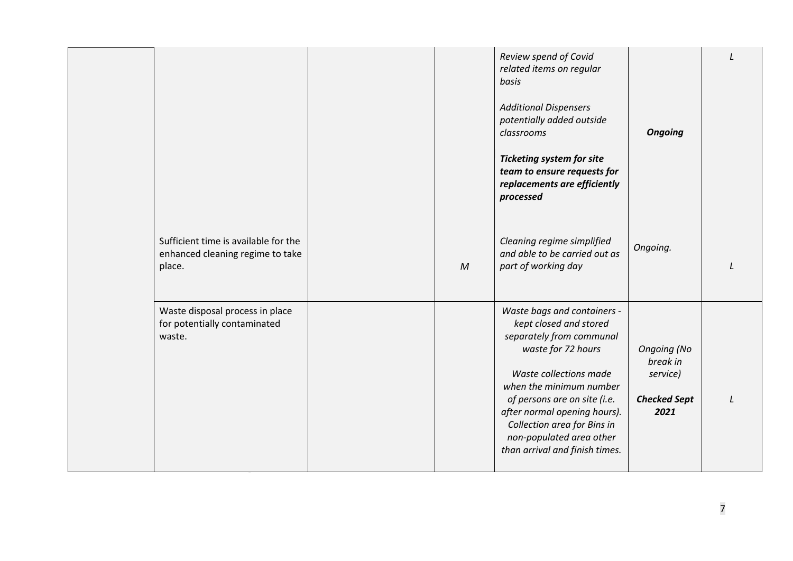|                                                                                    |              | Review spend of Covid<br>related items on regular<br>basis<br><b>Additional Dispensers</b><br>potentially added outside<br>classrooms<br><b>Ticketing system for site</b><br>team to ensure requests for<br>replacements are efficiently<br>processed                                                                     | <b>Ongoing</b>                                                            |  |
|------------------------------------------------------------------------------------|--------------|---------------------------------------------------------------------------------------------------------------------------------------------------------------------------------------------------------------------------------------------------------------------------------------------------------------------------|---------------------------------------------------------------------------|--|
| Sufficient time is available for the<br>enhanced cleaning regime to take<br>place. | $\mathcal M$ | Cleaning regime simplified<br>and able to be carried out as<br>part of working day                                                                                                                                                                                                                                        | Ongoing.                                                                  |  |
| Waste disposal process in place<br>for potentially contaminated<br>waste.          |              | Waste bags and containers -<br>kept closed and stored<br>separately from communal<br>waste for 72 hours<br>Waste collections made<br>when the minimum number<br>of persons are on site (i.e.<br>after normal opening hours).<br>Collection area for Bins in<br>non-populated area other<br>than arrival and finish times. | <b>Ongoing (No</b><br>break in<br>service)<br><b>Checked Sept</b><br>2021 |  |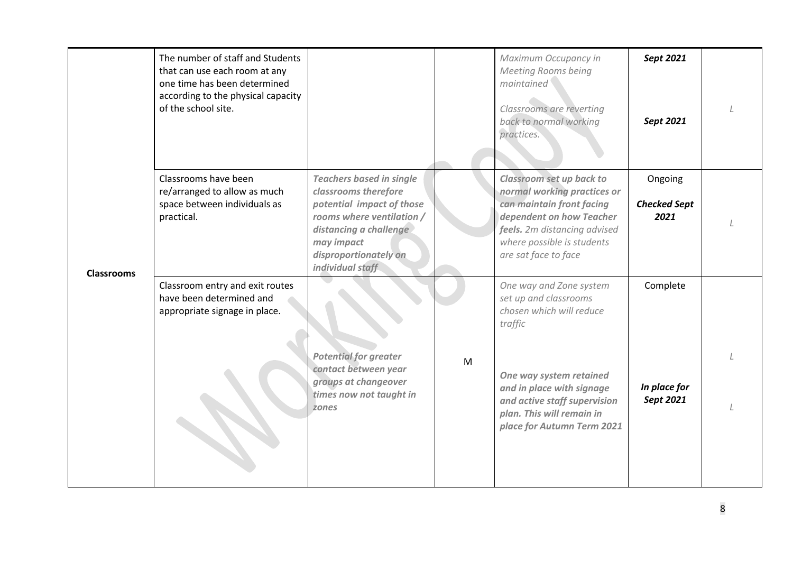<span id="page-7-0"></span>

| <b>Classrooms</b> | The number of staff and Students<br>that can use each room at any<br>one time has been determined<br>according to the physical capacity<br>of the school site. |                                                                                                                                                                                                        |   | Maximum Occupancy in<br><b>Meeting Rooms being</b><br>maintained<br>Classrooms are reverting<br>back to normal working<br>practices.                                                                                                       | Sept 2021<br>Sept 2021                 |  |
|-------------------|----------------------------------------------------------------------------------------------------------------------------------------------------------------|--------------------------------------------------------------------------------------------------------------------------------------------------------------------------------------------------------|---|--------------------------------------------------------------------------------------------------------------------------------------------------------------------------------------------------------------------------------------------|----------------------------------------|--|
|                   | Classrooms have been<br>re/arranged to allow as much<br>space between individuals as<br>practical.                                                             | <b>Teachers based in single</b><br>classrooms therefore<br>potential impact of those<br>rooms where ventilation /<br>distancing a challenge<br>may impact<br>disproportionately on<br>individual staff |   | Classroom set up back to<br>normal working practices or<br>can maintain front facing<br>dependent on how Teacher<br>feels. 2m distancing advised<br>where possible is students<br>are sat face to face                                     | Ongoing<br><b>Checked Sept</b><br>2021 |  |
|                   | Classroom entry and exit routes<br>have been determined and<br>appropriate signage in place.                                                                   | <b>Potential for greater</b><br>contact between year<br>groups at changeover<br>times now not taught in<br>zones                                                                                       | M | One way and Zone system<br>set up and classrooms<br>chosen which will reduce<br>traffic<br>One way system retained<br>and in place with signage<br>and active staff supervision<br>plan. This will remain in<br>place for Autumn Term 2021 | Complete<br>In place for<br>Sept 2021  |  |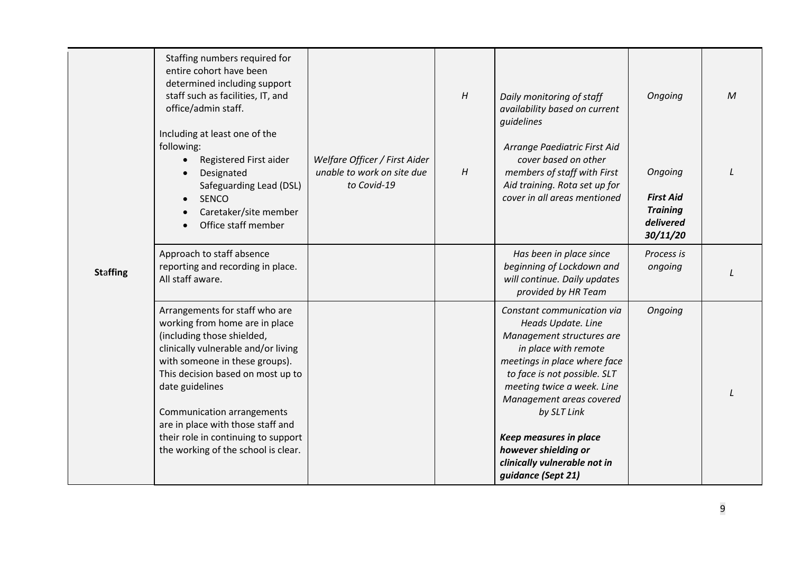<span id="page-8-0"></span>

| <b>Staffing</b> | Staffing numbers required for<br>entire cohort have been<br>determined including support<br>staff such as facilities, IT, and<br>office/admin staff.<br>Including at least one of the<br>following:<br>Registered First aider<br>$\bullet$<br>Designated<br>Safeguarding Lead (DSL)<br><b>SENCO</b><br>$\bullet$<br>Caretaker/site member<br>Office staff member<br>$\bullet$    | Welfare Officer / First Aider<br>unable to work on site due<br>to Covid-19 | H<br>H | Daily monitoring of staff<br>availability based on current<br>quidelines<br>Arrange Paediatric First Aid<br>cover based on other<br>members of staff with First<br>Aid training. Rota set up for<br>cover in all areas mentioned                                                                                                                              | Ongoing<br>Ongoing<br><b>First Aid</b><br><b>Training</b><br>delivered<br>30/11/20 | $\mathcal M$ |
|-----------------|----------------------------------------------------------------------------------------------------------------------------------------------------------------------------------------------------------------------------------------------------------------------------------------------------------------------------------------------------------------------------------|----------------------------------------------------------------------------|--------|---------------------------------------------------------------------------------------------------------------------------------------------------------------------------------------------------------------------------------------------------------------------------------------------------------------------------------------------------------------|------------------------------------------------------------------------------------|--------------|
|                 | Approach to staff absence<br>reporting and recording in place.<br>All staff aware.                                                                                                                                                                                                                                                                                               |                                                                            |        | Has been in place since<br>beginning of Lockdown and<br>will continue. Daily updates<br>provided by HR Team                                                                                                                                                                                                                                                   | Process is<br>ongoing                                                              |              |
|                 | Arrangements for staff who are<br>working from home are in place<br>(including those shielded,<br>clinically vulnerable and/or living<br>with someone in these groups).<br>This decision based on most up to<br>date guidelines<br>Communication arrangements<br>are in place with those staff and<br>their role in continuing to support<br>the working of the school is clear. |                                                                            |        | Constant communication via<br>Heads Update. Line<br>Management structures are<br>in place with remote<br>meetings in place where face<br>to face is not possible. SLT<br>meeting twice a week. Line<br>Management areas covered<br>by SLT Link<br><b>Keep measures in place</b><br>however shielding or<br>clinically vulnerable not in<br>guidance (Sept 21) | Ongoing                                                                            |              |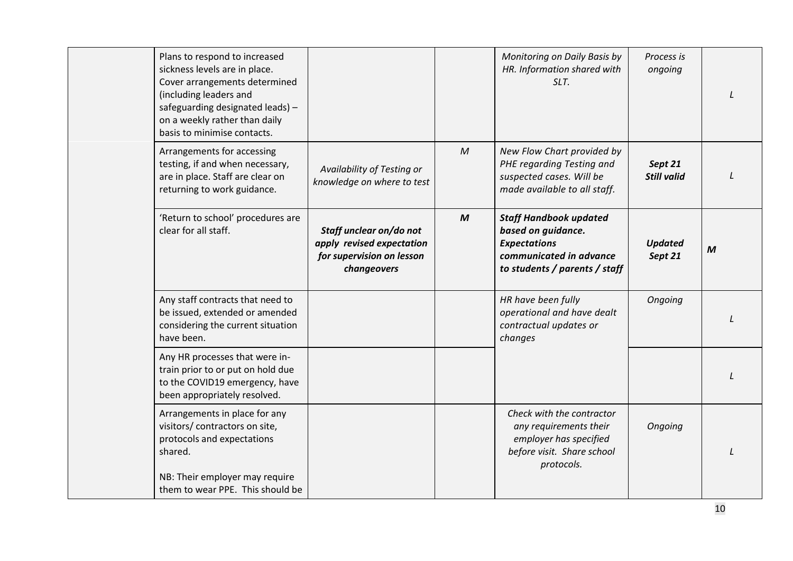| Plans to respond to increased<br>sickness levels are in place.<br>Cover arrangements determined<br>(including leaders and                  |                                                                                                  |                  | Monitoring on Daily Basis by<br>HR. Information shared with<br>SLT.                                                                    | Process is<br>ongoing         |                  |
|--------------------------------------------------------------------------------------------------------------------------------------------|--------------------------------------------------------------------------------------------------|------------------|----------------------------------------------------------------------------------------------------------------------------------------|-------------------------------|------------------|
| safeguarding designated leads) -<br>on a weekly rather than daily<br>basis to minimise contacts.                                           |                                                                                                  |                  |                                                                                                                                        |                               |                  |
| Arrangements for accessing<br>testing, if and when necessary,<br>are in place. Staff are clear on<br>returning to work guidance.           | Availability of Testing or<br>knowledge on where to test                                         | $\mathcal M$     | New Flow Chart provided by<br>PHE regarding Testing and<br>suspected cases. Will be<br>made available to all staff.                    | Sept 21<br><b>Still valid</b> |                  |
| 'Return to school' procedures are<br>clear for all staff.                                                                                  | Staff unclear on/do not<br>apply revised expectation<br>for supervision on lesson<br>changeovers | $\boldsymbol{M}$ | <b>Staff Handbook updated</b><br>based on guidance.<br><b>Expectations</b><br>communicated in advance<br>to students / parents / staff | <b>Updated</b><br>Sept 21     | $\boldsymbol{M}$ |
| Any staff contracts that need to<br>be issued, extended or amended<br>considering the current situation<br>have been.                      |                                                                                                  |                  | HR have been fully<br>operational and have dealt<br>contractual updates or<br>changes                                                  | Ongoing                       |                  |
| Any HR processes that were in-<br>train prior to or put on hold due<br>to the COVID19 emergency, have<br>been appropriately resolved.      |                                                                                                  |                  |                                                                                                                                        |                               |                  |
| Arrangements in place for any<br>visitors/ contractors on site,<br>protocols and expectations<br>shared.<br>NB: Their employer may require |                                                                                                  |                  | Check with the contractor<br>any requirements their<br>employer has specified<br>before visit. Share school<br>protocols.              | Ongoing                       |                  |
| them to wear PPE. This should be                                                                                                           |                                                                                                  |                  |                                                                                                                                        |                               |                  |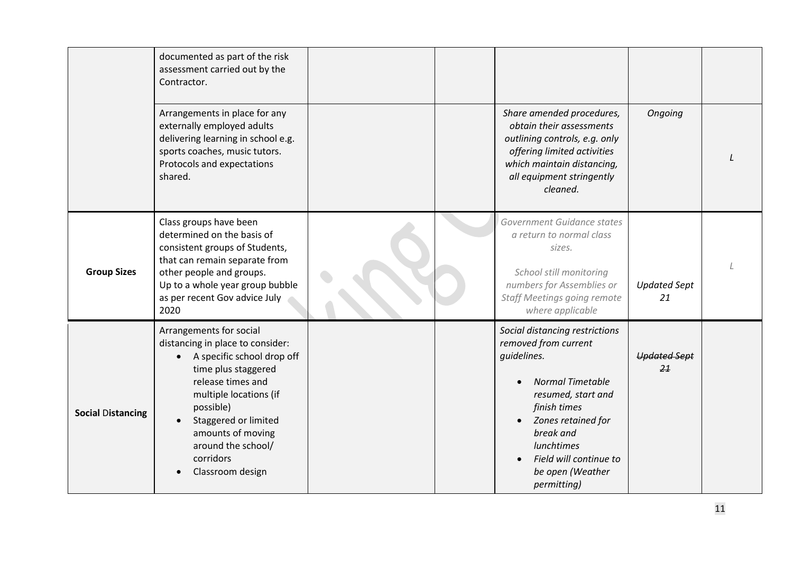<span id="page-10-1"></span><span id="page-10-0"></span>

|                          | documented as part of the risk<br>assessment carried out by the<br>Contractor.                                                                                                                                                                                                   |  |                                                                                                                                                                                                                                                             |                           |  |
|--------------------------|----------------------------------------------------------------------------------------------------------------------------------------------------------------------------------------------------------------------------------------------------------------------------------|--|-------------------------------------------------------------------------------------------------------------------------------------------------------------------------------------------------------------------------------------------------------------|---------------------------|--|
|                          | Arrangements in place for any<br>externally employed adults<br>delivering learning in school e.g.<br>sports coaches, music tutors.<br>Protocols and expectations<br>shared.                                                                                                      |  | Share amended procedures,<br>obtain their assessments<br>outlining controls, e.g. only<br>offering limited activities<br>which maintain distancing,<br>all equipment stringently<br>cleaned.                                                                | Ongoing                   |  |
| <b>Group Sizes</b>       | Class groups have been<br>determined on the basis of<br>consistent groups of Students,<br>that can remain separate from<br>other people and groups.<br>Up to a whole year group bubble<br>as per recent Gov advice July<br>2020                                                  |  | Government Guidance states<br>a return to normal class<br>sizes.<br>School still monitoring<br>numbers for Assemblies or<br><b>Staff Meetings going remote</b><br>where applicable                                                                          | <b>Updated Sept</b><br>21 |  |
| <b>Social Distancing</b> | Arrangements for social<br>distancing in place to consider:<br>A specific school drop off<br>time plus staggered<br>release times and<br>multiple locations (if<br>possible)<br>Staggered or limited<br>amounts of moving<br>around the school/<br>corridors<br>Classroom design |  | Social distancing restrictions<br>removed from current<br>quidelines.<br><b>Normal Timetable</b><br>resumed, start and<br>finish times<br>Zones retained for<br>break and<br><b>lunchtimes</b><br>Field will continue to<br>be open (Weather<br>permitting) | <b>Updated Sept</b><br>21 |  |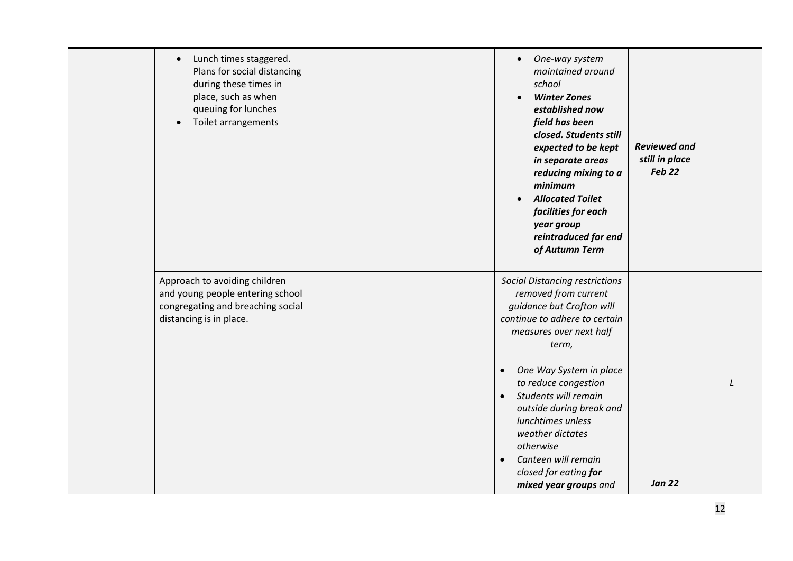| Lunch times staggered.<br>$\bullet$<br>Plans for social distancing<br>during these times in<br>place, such as when<br>queuing for lunches<br>Toilet arrangements |  | One-way system<br>$\bullet$<br>maintained around<br>school<br><b>Winter Zones</b><br>established now<br>field has been<br>closed. Students still<br>expected to be kept<br>in separate areas<br>reducing mixing to a<br>minimum<br><b>Allocated Toilet</b><br>$\bullet$<br>facilities for each<br>year group<br>reintroduced for end<br>of Autumn Term                                                                                       | <b>Reviewed and</b><br>still in place<br><b>Feb 22</b> |  |
|------------------------------------------------------------------------------------------------------------------------------------------------------------------|--|----------------------------------------------------------------------------------------------------------------------------------------------------------------------------------------------------------------------------------------------------------------------------------------------------------------------------------------------------------------------------------------------------------------------------------------------|--------------------------------------------------------|--|
| Approach to avoiding children<br>and young people entering school<br>congregating and breaching social<br>distancing is in place.                                |  | <b>Social Distancing restrictions</b><br>removed from current<br>guidance but Crofton will<br>continue to adhere to certain<br>measures over next half<br>term,<br>One Way System in place<br>$\bullet$<br>to reduce congestion<br>Students will remain<br>$\bullet$<br>outside during break and<br>lunchtimes unless<br>weather dictates<br>otherwise<br>Canteen will remain<br>$\bullet$<br>closed for eating for<br>mixed year groups and | <b>Jan 22</b>                                          |  |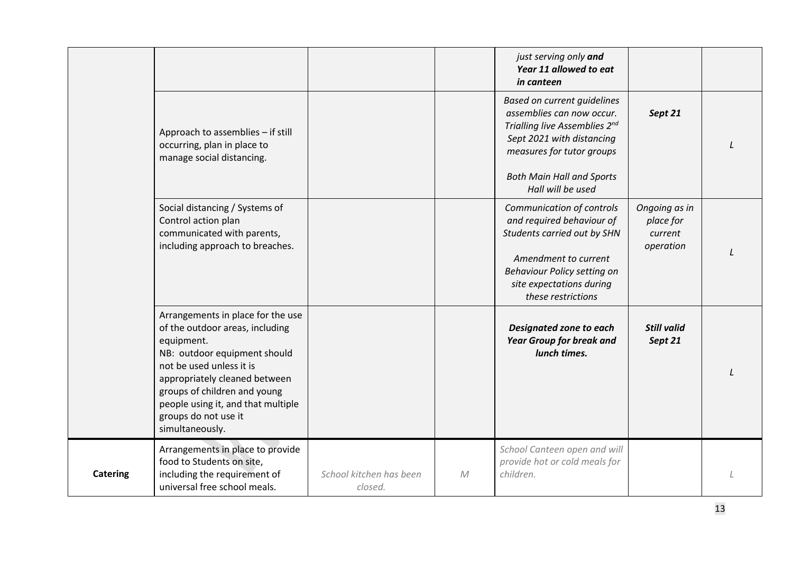<span id="page-12-0"></span>

|                 |                                                                                                                                                                                                                                                                                                  |                                    |              | just serving only and<br>Year 11 allowed to eat<br>in canteen                                                                                                                                  |                                                    |  |
|-----------------|--------------------------------------------------------------------------------------------------------------------------------------------------------------------------------------------------------------------------------------------------------------------------------------------------|------------------------------------|--------------|------------------------------------------------------------------------------------------------------------------------------------------------------------------------------------------------|----------------------------------------------------|--|
|                 | Approach to assemblies - if still<br>occurring, plan in place to<br>manage social distancing.                                                                                                                                                                                                    |                                    |              | <b>Based on current guidelines</b><br>assemblies can now occur.<br>Trialling live Assemblies 2nd<br>Sept 2021 with distancing<br>measures for tutor groups<br><b>Both Main Hall and Sports</b> | Sept 21                                            |  |
|                 |                                                                                                                                                                                                                                                                                                  |                                    |              | Hall will be used                                                                                                                                                                              |                                                    |  |
|                 | Social distancing / Systems of<br>Control action plan<br>communicated with parents,<br>including approach to breaches.                                                                                                                                                                           |                                    |              | Communication of controls<br>and required behaviour of<br>Students carried out by SHN<br>Amendment to current<br>Behaviour Policy setting on<br>site expectations during<br>these restrictions | Ongoing as in<br>place for<br>current<br>operation |  |
|                 | Arrangements in place for the use<br>of the outdoor areas, including<br>equipment.<br>NB: outdoor equipment should<br>not be used unless it is<br>appropriately cleaned between<br>groups of children and young<br>people using it, and that multiple<br>groups do not use it<br>simultaneously. |                                    |              | Designated zone to each<br><b>Year Group for break and</b><br>lunch times.                                                                                                                     | <b>Still valid</b><br>Sept 21                      |  |
| <b>Catering</b> | Arrangements in place to provide<br>food to Students on site,<br>including the requirement of<br>universal free school meals.                                                                                                                                                                    | School kitchen has been<br>closed. | $\mathcal M$ | School Canteen open and will<br>provide hot or cold meals for<br>children.                                                                                                                     |                                                    |  |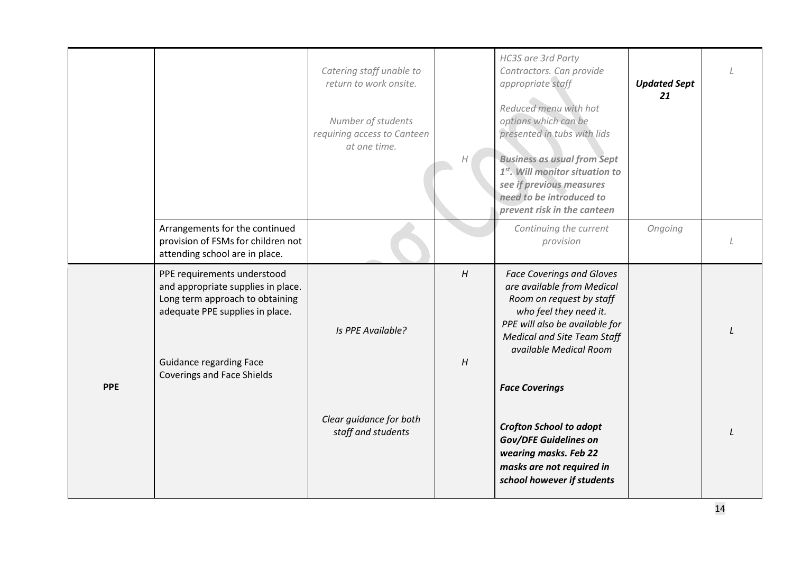<span id="page-13-0"></span>

|            |                                                                                                                                                                           |                                                                   |        | HC3S are 3rd Party                                                                                                                                                                                                     |                           |  |
|------------|---------------------------------------------------------------------------------------------------------------------------------------------------------------------------|-------------------------------------------------------------------|--------|------------------------------------------------------------------------------------------------------------------------------------------------------------------------------------------------------------------------|---------------------------|--|
|            |                                                                                                                                                                           | Catering staff unable to<br>return to work onsite.                |        | Contractors. Can provide<br>appropriate staff                                                                                                                                                                          | <b>Updated Sept</b><br>21 |  |
|            |                                                                                                                                                                           | Number of students<br>requiring access to Canteen<br>at one time. |        | Reduced menu with hot<br>options which can be<br>presented in tubs with lids                                                                                                                                           |                           |  |
|            |                                                                                                                                                                           |                                                                   | Н      | <b>Business as usual from Sept</b><br>1 <sup>st</sup> . Will monitor situation to<br>see if previous measures<br>need to be introduced to<br>prevent risk in the canteen                                               |                           |  |
|            | Arrangements for the continued<br>provision of FSMs for children not<br>attending school are in place.                                                                    |                                                                   |        | Continuing the current<br>provision                                                                                                                                                                                    | Ongoing                   |  |
|            | PPE requirements understood<br>and appropriate supplies in place.<br>Long term approach to obtaining<br>adequate PPE supplies in place.<br><b>Guidance regarding Face</b> | Is PPE Available?                                                 | H<br>H | <b>Face Coverings and Gloves</b><br>are available from Medical<br>Room on request by staff<br>who feel they need it.<br>PPE will also be available for<br><b>Medical and Site Team Staff</b><br>available Medical Room |                           |  |
| <b>PPE</b> | <b>Coverings and Face Shields</b>                                                                                                                                         |                                                                   |        | <b>Face Coverings</b>                                                                                                                                                                                                  |                           |  |
|            |                                                                                                                                                                           | Clear guidance for both<br>staff and students                     |        | <b>Crofton School to adopt</b><br><b>Gov/DFE Guidelines on</b><br>wearing masks. Feb 22<br>masks are not required in<br>school however if students                                                                     |                           |  |
|            |                                                                                                                                                                           |                                                                   |        |                                                                                                                                                                                                                        |                           |  |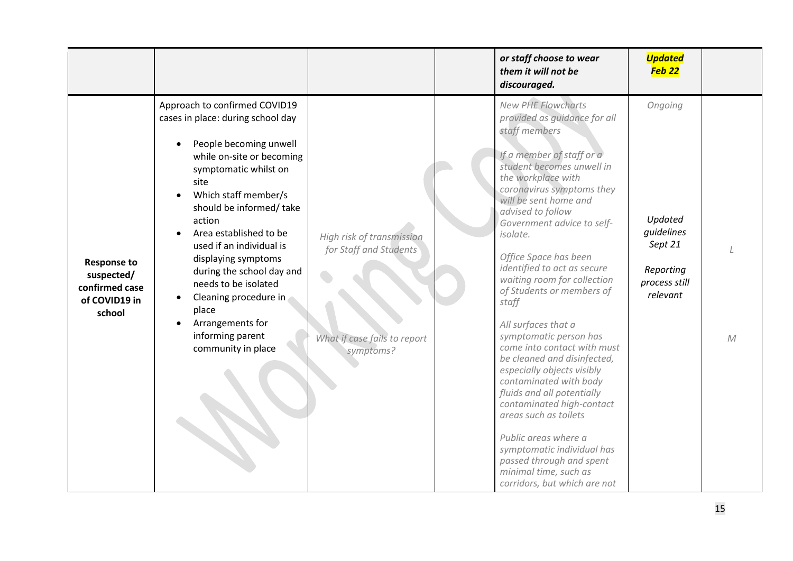<span id="page-14-0"></span>

|                                                                               |                                                                                                                                                                                                                                                                                                                                                                                                                                                            |                                                                                                  | or staff choose to wear<br>them it will not be<br>discouraged.                                                                                                                                                                                                                                                                                                                                                                                                                                                                                                                                                                                                                                                                                                                                                     | <b>Updated</b><br>Feb <sub>22</sub>                                                   |              |
|-------------------------------------------------------------------------------|------------------------------------------------------------------------------------------------------------------------------------------------------------------------------------------------------------------------------------------------------------------------------------------------------------------------------------------------------------------------------------------------------------------------------------------------------------|--------------------------------------------------------------------------------------------------|--------------------------------------------------------------------------------------------------------------------------------------------------------------------------------------------------------------------------------------------------------------------------------------------------------------------------------------------------------------------------------------------------------------------------------------------------------------------------------------------------------------------------------------------------------------------------------------------------------------------------------------------------------------------------------------------------------------------------------------------------------------------------------------------------------------------|---------------------------------------------------------------------------------------|--------------|
| <b>Response to</b><br>suspected/<br>confirmed case<br>of COVID19 in<br>school | Approach to confirmed COVID19<br>cases in place: during school day<br>People becoming unwell<br>while on-site or becoming<br>symptomatic whilst on<br>site<br>Which staff member/s<br>should be informed/ take<br>action<br>Area established to be<br>used if an individual is<br>displaying symptoms<br>during the school day and<br>needs to be isolated<br>Cleaning procedure in<br>place<br>Arrangements for<br>informing parent<br>community in place | High risk of transmission<br>for Staff and Students<br>What if case fails to report<br>symptoms? | <b>New PHE Flowcharts</b><br>provided as guidance for all<br>staff members<br>If a member of staff or a<br>student becomes unwell in<br>the workplace with<br>coronavirus symptoms they<br>will be sent home and<br>advised to follow<br>Government advice to self-<br>isolate.<br>Office Space has been<br>identified to act as secure<br>waiting room for collection<br>of Students or members of<br>staff<br>All surfaces that a<br>symptomatic person has<br>come into contact with must<br>be cleaned and disinfected,<br>especially objects visibly<br>contaminated with body<br>fluids and all potentially<br>contaminated high-contact<br>areas such as toilets<br>Public areas where a<br>symptomatic individual has<br>passed through and spent<br>minimal time, such as<br>corridors, but which are not | Ongoing<br>Updated<br>quidelines<br>Sept 21<br>Reporting<br>process still<br>relevant | $\mathcal M$ |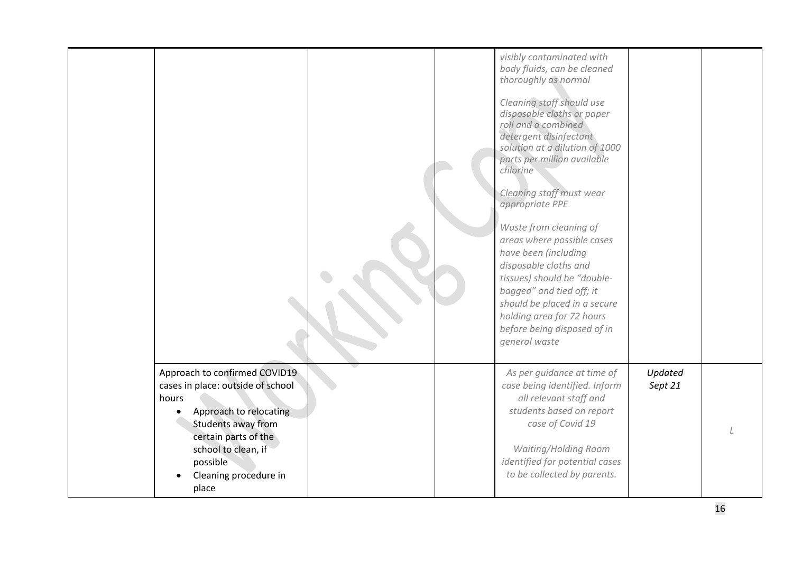|                                                                                                                                                                                                                          |  | visibly contaminated with<br>body fluids, can be cleaned<br>thoroughly as normal<br>Cleaning staff should use<br>disposable cloths or paper<br>roll and a combined<br>detergent disinfectant<br>solution at a dilution of 1000<br>parts per million available<br>chlorine<br>Cleaning staff must wear<br>appropriate PPE<br>Waste from cleaning of<br>areas where possible cases<br>have been (including<br>disposable cloths and<br>tissues) should be "double-<br>bagged" and tied off; it<br>should be placed in a secure<br>holding area for 72 hours<br>before being disposed of in<br>general waste |                    |  |
|--------------------------------------------------------------------------------------------------------------------------------------------------------------------------------------------------------------------------|--|-----------------------------------------------------------------------------------------------------------------------------------------------------------------------------------------------------------------------------------------------------------------------------------------------------------------------------------------------------------------------------------------------------------------------------------------------------------------------------------------------------------------------------------------------------------------------------------------------------------|--------------------|--|
| Approach to confirmed COVID19<br>cases in place: outside of school<br>hours<br>Approach to relocating<br>Students away from<br>certain parts of the<br>school to clean, if<br>possible<br>Cleaning procedure in<br>place |  | As per guidance at time of<br>case being identified. Inform<br>all relevant staff and<br>students based on report<br>case of Covid 19<br>Waiting/Holding Room<br>identified for potential cases<br>to be collected by parents.                                                                                                                                                                                                                                                                                                                                                                            | Updated<br>Sept 21 |  |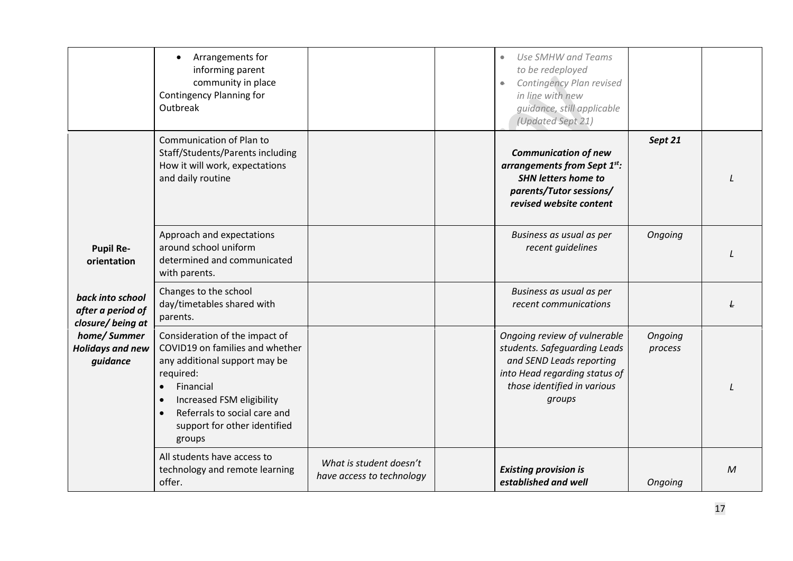<span id="page-16-0"></span>

|                                                           | Arrangements for<br>informing parent<br>community in place<br>Contingency Planning for<br>Outbreak                                                                                                                                                            |                                                      | Use SMHW and Teams<br>to be redeployed<br>Contingency Plan revised<br>۰<br>in line with new<br>quidance, still applicable<br>(Updated Sept 21)                     |                    |   |
|-----------------------------------------------------------|---------------------------------------------------------------------------------------------------------------------------------------------------------------------------------------------------------------------------------------------------------------|------------------------------------------------------|--------------------------------------------------------------------------------------------------------------------------------------------------------------------|--------------------|---|
|                                                           | <b>Communication of Plan to</b><br>Staff/Students/Parents including<br>How it will work, expectations<br>and daily routine                                                                                                                                    |                                                      | <b>Communication of new</b><br>arrangements from Sept 1st:<br><b>SHN letters home to</b><br>parents/Tutor sessions/<br>revised website content                     | Sept 21            |   |
| <b>Pupil Re-</b><br>orientation                           | Approach and expectations<br>around school uniform<br>determined and communicated<br>with parents.                                                                                                                                                            |                                                      | Business as usual as per<br>recent guidelines                                                                                                                      | Ongoing            |   |
| back into school<br>after a period of<br>closure/being at | Changes to the school<br>day/timetables shared with<br>parents.                                                                                                                                                                                               |                                                      | Business as usual as per<br>recent communications                                                                                                                  |                    |   |
| home/Summer<br><b>Holidays and new</b><br>guidance        | Consideration of the impact of<br>COVID19 on families and whether<br>any additional support may be<br>required:<br>Financial<br>$\bullet$<br>Increased FSM eligibility<br>$\bullet$<br>Referrals to social care and<br>support for other identified<br>groups |                                                      | Ongoing review of vulnerable<br>students. Safeguarding Leads<br>and SEND Leads reporting<br>into Head regarding status of<br>those identified in various<br>groups | Ongoing<br>process |   |
|                                                           | All students have access to<br>technology and remote learning<br>offer.                                                                                                                                                                                       | What is student doesn't<br>have access to technology | <b>Existing provision is</b><br>established and well                                                                                                               | Ongoing            | M |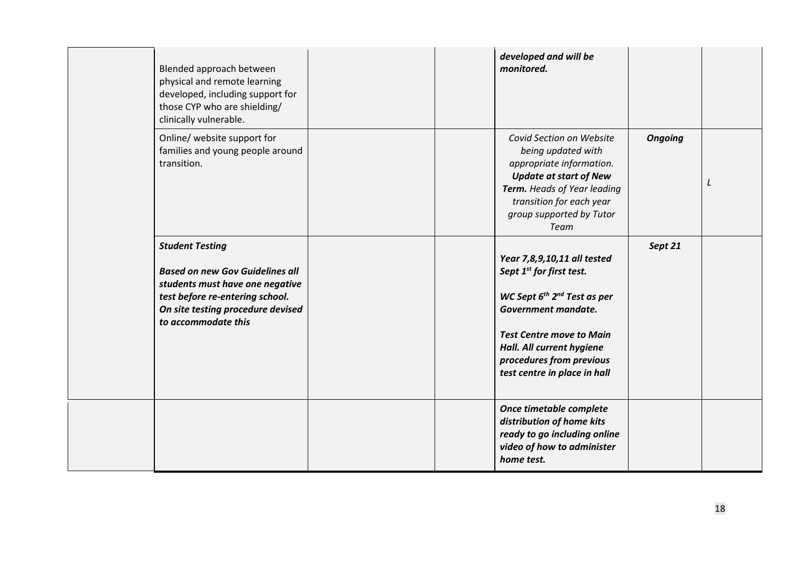| Blended approach between<br>physical and remote learning<br>developed, including support for<br>those CYP who are shielding/<br>clinically vulnerable.                                             | developed and will be<br>monitored.                                                                                                                                                                                                                             |                |   |
|----------------------------------------------------------------------------------------------------------------------------------------------------------------------------------------------------|-----------------------------------------------------------------------------------------------------------------------------------------------------------------------------------------------------------------------------------------------------------------|----------------|---|
| Online/ website support for<br>families and young people around<br>transition.                                                                                                                     | Covid Section on Website<br>being updated with<br>appropriate information.<br><b>Update at start of New</b><br>Term. Heads of Year leading<br>transition for each year<br>group supported by Tutor<br>Team                                                      | <b>Ongoing</b> | L |
| <b>Student Testing</b><br><b>Based on new Gov Guidelines all</b><br>students must have one negative<br>test before re-entering school.<br>On site testing procedure devised<br>to accommodate this | Year 7,8,9,10,11 all tested<br>Sept 1 <sup>st</sup> for first test.<br>WC Sept $6^{th}$ $2^{nd}$ Test as per<br>Government mandate.<br><b>Test Centre move to Main</b><br>Hall. All current hygiene<br>procedures from previous<br>test centre in place in hall | Sept 21        |   |
|                                                                                                                                                                                                    | Once timetable complete<br>distribution of home kits<br>ready to go including online<br>video of how to administer<br>home test.                                                                                                                                |                |   |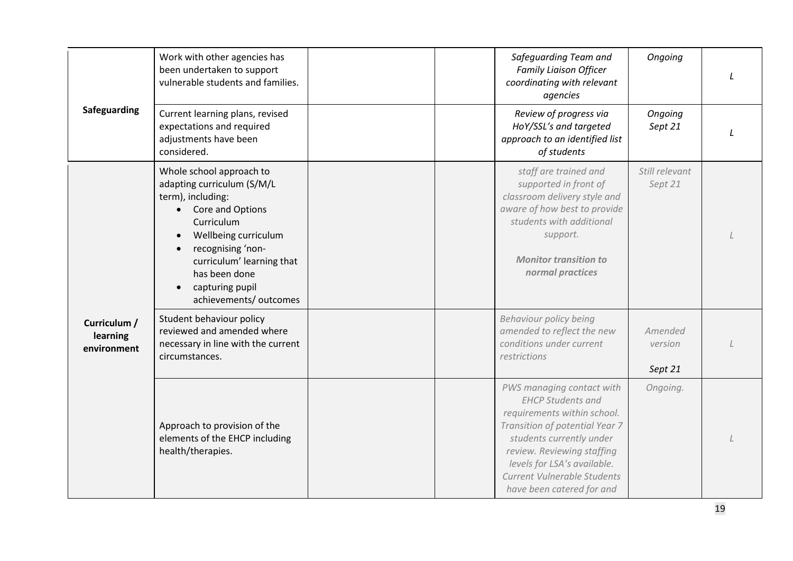<span id="page-18-1"></span><span id="page-18-0"></span>

| Safeguarding                            | Work with other agencies has<br>been undertaken to support<br>vulnerable students and families.                                                                                                                                                                    |  | Safeguarding Team and<br><b>Family Liaison Officer</b><br>coordinating with relevant<br>agencies                                                                                                                                                                            | Ongoing                       |  |
|-----------------------------------------|--------------------------------------------------------------------------------------------------------------------------------------------------------------------------------------------------------------------------------------------------------------------|--|-----------------------------------------------------------------------------------------------------------------------------------------------------------------------------------------------------------------------------------------------------------------------------|-------------------------------|--|
|                                         | Current learning plans, revised<br>expectations and required<br>adjustments have been<br>considered.                                                                                                                                                               |  | Review of progress via<br>HoY/SSL's and targeted<br>approach to an identified list<br>of students                                                                                                                                                                           | Ongoing<br>Sept 21            |  |
|                                         | Whole school approach to<br>adapting curriculum (S/M/L<br>term), including:<br>Core and Options<br>$\bullet$<br>Curriculum<br>Wellbeing curriculum<br>recognising 'non-<br>curriculum' learning that<br>has been done<br>capturing pupil<br>achievements/ outcomes |  | staff are trained and<br>supported in front of<br>classroom delivery style and<br>aware of how best to provide<br>students with additional<br>support.<br><b>Monitor transition to</b><br>normal practices                                                                  | Still relevant<br>Sept 21     |  |
| Curriculum /<br>learning<br>environment | Student behaviour policy<br>reviewed and amended where<br>necessary in line with the current<br>circumstances.                                                                                                                                                     |  | Behaviour policy being<br>amended to reflect the new<br>conditions under current<br>restrictions                                                                                                                                                                            | Amended<br>version<br>Sept 21 |  |
|                                         | Approach to provision of the<br>elements of the EHCP including<br>health/therapies.                                                                                                                                                                                |  | PWS managing contact with<br><b>EHCP Students and</b><br>requirements within school.<br>Transition of potential Year 7<br>students currently under<br>review. Reviewing staffing<br>levels for LSA's available.<br>Current Vulnerable Students<br>have been catered for and | Ongoing.                      |  |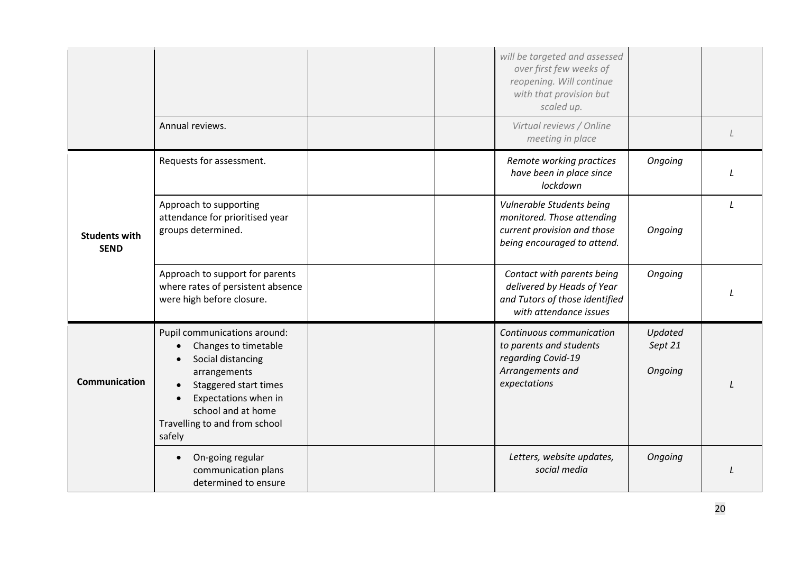<span id="page-19-1"></span><span id="page-19-0"></span>

|                                     |                                                                                                                                                                                                             |  | will be targeted and assessed<br>over first few weeks of<br>reopening. Will continue<br>with that provision but<br>scaled up. |                               |               |
|-------------------------------------|-------------------------------------------------------------------------------------------------------------------------------------------------------------------------------------------------------------|--|-------------------------------------------------------------------------------------------------------------------------------|-------------------------------|---------------|
|                                     | Annual reviews.                                                                                                                                                                                             |  | Virtual reviews / Online<br>meeting in place                                                                                  |                               |               |
|                                     | Requests for assessment.                                                                                                                                                                                    |  | Remote working practices<br>have been in place since<br>lockdown                                                              | Ongoing                       |               |
| <b>Students with</b><br><b>SEND</b> | Approach to supporting<br>attendance for prioritised year<br>groups determined.                                                                                                                             |  | Vulnerable Students being<br>monitored. Those attending<br>current provision and those<br>being encouraged to attend.         | Ongoing                       | $\mathcal{L}$ |
|                                     | Approach to support for parents<br>where rates of persistent absence<br>were high before closure.                                                                                                           |  | Contact with parents being<br>delivered by Heads of Year<br>and Tutors of those identified<br>with attendance issues          | Ongoing                       |               |
| <b>Communication</b>                | Pupil communications around:<br>Changes to timetable<br>Social distancing<br>arrangements<br>Staggered start times<br>Expectations when in<br>school and at home<br>Travelling to and from school<br>safely |  | Continuous communication<br>to parents and students<br>regarding Covid-19<br>Arrangements and<br>expectations                 | Updated<br>Sept 21<br>Ongoing |               |
|                                     | On-going regular<br>communication plans<br>determined to ensure                                                                                                                                             |  | Letters, website updates,<br>social media                                                                                     | Ongoing                       |               |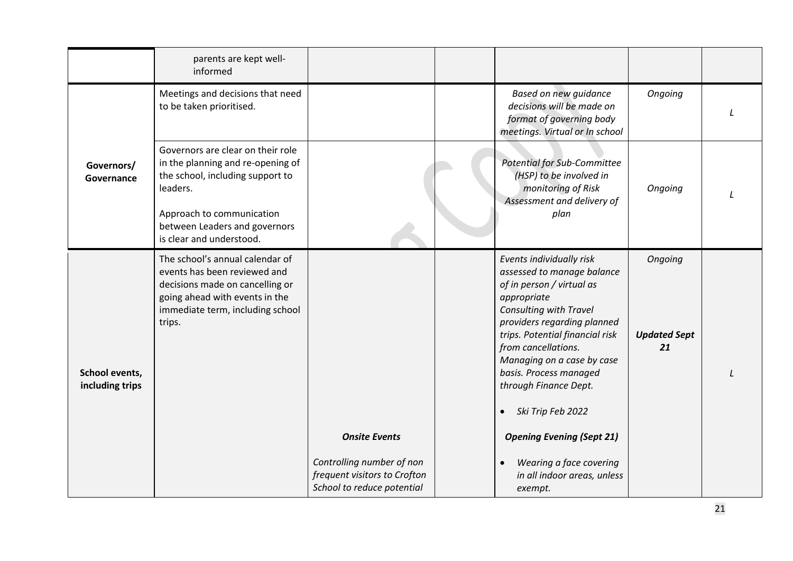<span id="page-20-1"></span><span id="page-20-0"></span>

|                                   | parents are kept well-<br>informed                                                                                                                                                                               |                                                                                                                 |                                                                                                                                                                                                                                                                                                                                                                                                                                                   |                                      |  |
|-----------------------------------|------------------------------------------------------------------------------------------------------------------------------------------------------------------------------------------------------------------|-----------------------------------------------------------------------------------------------------------------|---------------------------------------------------------------------------------------------------------------------------------------------------------------------------------------------------------------------------------------------------------------------------------------------------------------------------------------------------------------------------------------------------------------------------------------------------|--------------------------------------|--|
|                                   | Meetings and decisions that need<br>to be taken prioritised.                                                                                                                                                     |                                                                                                                 | Based on new guidance<br>decisions will be made on<br>format of governing body<br>meetings. Virtual or In school                                                                                                                                                                                                                                                                                                                                  | Ongoing                              |  |
| Governors/<br>Governance          | Governors are clear on their role<br>in the planning and re-opening of<br>the school, including support to<br>leaders.<br>Approach to communication<br>between Leaders and governors<br>is clear and understood. |                                                                                                                 | <b>Potential for Sub-Committee</b><br>(HSP) to be involved in<br>monitoring of Risk<br>Assessment and delivery of<br>plan                                                                                                                                                                                                                                                                                                                         | Ongoing                              |  |
| School events,<br>including trips | The school's annual calendar of<br>events has been reviewed and<br>decisions made on cancelling or<br>going ahead with events in the<br>immediate term, including school<br>trips.                               | <b>Onsite Events</b><br>Controlling number of non<br>frequent visitors to Crofton<br>School to reduce potential | Events individually risk<br>assessed to manage balance<br>of in person / virtual as<br>appropriate<br>Consulting with Travel<br>providers regarding planned<br>trips. Potential financial risk<br>from cancellations.<br>Managing on a case by case<br>basis. Process managed<br>through Finance Dept.<br>Ski Trip Feb 2022<br>$\bullet$<br><b>Opening Evening (Sept 21)</b><br>Wearing a face covering<br>in all indoor areas, unless<br>exempt. | Ongoing<br><b>Updated Sept</b><br>21 |  |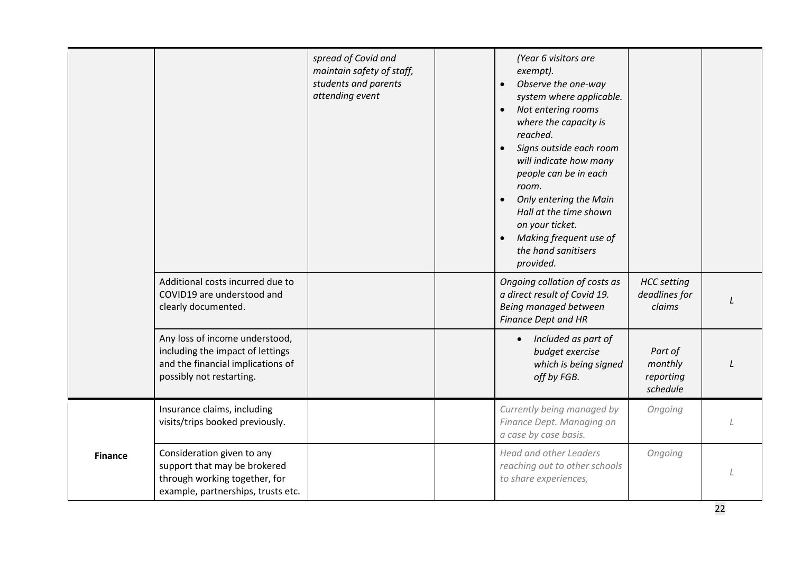<span id="page-21-0"></span>

|                |                                                                                                                                     | spread of Covid and<br>maintain safety of staff,<br>students and parents<br>attending event | (Year 6 visitors are<br>exempt).<br>Observe the one-way<br>system where applicable.<br>Not entering rooms<br>$\bullet$<br>where the capacity is<br>reached.<br>Signs outside each room<br>will indicate how many<br>people can be in each<br>room.<br>Only entering the Main<br>$\bullet$<br>Hall at the time shown<br>on your ticket.<br>Making frequent use of<br>the hand sanitisers<br>provided. |                                               |  |
|----------------|-------------------------------------------------------------------------------------------------------------------------------------|---------------------------------------------------------------------------------------------|------------------------------------------------------------------------------------------------------------------------------------------------------------------------------------------------------------------------------------------------------------------------------------------------------------------------------------------------------------------------------------------------------|-----------------------------------------------|--|
|                | Additional costs incurred due to<br>COVID19 are understood and<br>clearly documented.                                               |                                                                                             | Ongoing collation of costs as<br>a direct result of Covid 19.<br>Being managed between<br><b>Finance Dept and HR</b>                                                                                                                                                                                                                                                                                 | <b>HCC</b> setting<br>deadlines for<br>claims |  |
|                | Any loss of income understood,<br>including the impact of lettings<br>and the financial implications of<br>possibly not restarting. |                                                                                             | Included as part of<br>$\bullet$<br>budget exercise<br>which is being signed<br>off by FGB.                                                                                                                                                                                                                                                                                                          | Part of<br>monthly<br>reporting<br>schedule   |  |
|                | Insurance claims, including<br>visits/trips booked previously.                                                                      |                                                                                             | Currently being managed by<br>Finance Dept. Managing on<br>a case by case basis.                                                                                                                                                                                                                                                                                                                     | Ongoing                                       |  |
| <b>Finance</b> | Consideration given to any<br>support that may be brokered<br>through working together, for<br>example, partnerships, trusts etc.   |                                                                                             | <b>Head and other Leaders</b><br>reaching out to other schools<br>to share experiences,                                                                                                                                                                                                                                                                                                              | Ongoing                                       |  |